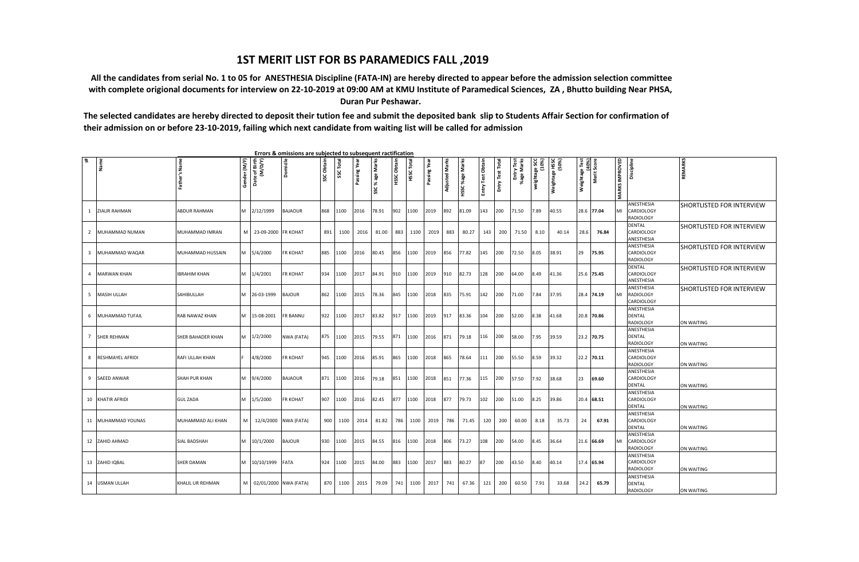## **1ST MERIT LIST FOR BS PARAMEDICS FALL ,2019**

 **All the candidates from serial No. 1 to 05 for ANESTHESIA Discipline (FATA-IN) are hereby directed to appear before the admission selection committee with complete origional documents for interview on 22-10-2019 at 09:00 AM at KMU Institute of Paramedical Sciences, ZA , Bhutto building Near PHSA, Duran Pur Peshawar.**

**The selected candidates are hereby directed to deposit their tution fee and submit the deposited bank slip to Students Affair Section for confirmation of their admission on or before 23-10-2019, failing which next candidate from waiting list will be called for admission**

| # | Name               | Father's Name       | Gender (M/F) | Date of Birth<br>(M/D/Y) | <b>Domicile</b>      | SSC Obtain | SSC Total | Passing Year | SSC % age Marks | diata<br>нssc | Total<br>нssс <sup>.</sup> | Passing Year | <b>Adjusted Marks</b> | Marks<br>%age<br>HSSC | Entry Test Obtain | Total<br>Entry Test 1 | Entry Test<br>%age Marks | (10%)<br>SCC<br>weightage! | Weightage HSSC<br>(50%) | ightage Test<br>(40%)<br>Merit Score<br>Weightage <sup>-</sup> |            | <b>MARKS IMPROVED</b> | Discipline                                      | <b>REMARKS</b>                   |
|---|--------------------|---------------------|--------------|--------------------------|----------------------|------------|-----------|--------------|-----------------|---------------|----------------------------|--------------|-----------------------|-----------------------|-------------------|-----------------------|--------------------------|----------------------------|-------------------------|----------------------------------------------------------------|------------|-----------------------|-------------------------------------------------|----------------------------------|
|   | 1 ZIAUR RAHMAN     | ABDUR RAHMAN        | M            | 2/12/1999                | <b>BAJAOUR</b>       | 868        | 1100      | 2016         | 78.91           | 902           | 1100                       | 2019         | 892                   | 81.09                 | 143               | 200                   | 71.50                    | 7.89                       | 40.55                   |                                                                | 28.6 77.04 | MI                    | ANESTHESIA<br>CARDIOLOGY<br>RADIOLOGY           | <b>SHORTLISTED FOR INTERVIEW</b> |
|   | 2 MUHAMMAD NUMAN   | MUHAMMAD IMRAN      |              | M 23-09-2000 FR KOHAT    |                      | 891        | 1100      | 2016         | 81.00           | 883           | 1100                       | 2019         | 883                   | 80.27                 | 143               | 200                   | 71.50                    | 8.10                       | 40.14                   | 28.6                                                           | 76.84      |                       | <b>DENTAL</b><br>CARDIOLOGY<br>ANESTHESIA       | <b>SHORTLISTED FOR INTERVIEW</b> |
|   | 3 MUHAMMAD WAQAR   | MUHAMMAD HUSSAIN    | M            | 5/4/2000                 | <b>FR KOHAT</b>      | 885        | 1100      | 2016         | 80.45           | 856           | 1100                       | 2019         | 856                   | 77.82                 | 145               | 200                   | 72.50                    | 8.05                       | 38.91                   | 29                                                             | 75.95      |                       | ANESTHESIA<br>CARDIOLOGY<br><b>RADIOLOGY</b>    | SHORTLISTED FOR INTERVIEW        |
|   | 4 MARWAN KHAN      | <b>IBRAHIM KHAN</b> | M            | 1/4/2001                 | <b>FR KOHAT</b>      | 934        | 1100      | 2017         | 84.91           | 910           | 1100                       | 2019         | 910                   | 82.73                 | 128               | 200                   | 64.00                    | 8.49                       | 41.36                   |                                                                | 25.6 75.45 |                       | <b>DENTAL</b><br>CARDIOLOGY<br>ANESTHESIA       | <b>SHORTLISTED FOR INTERVIEW</b> |
|   | 5 MASIH ULLAH      | SAHIBULLAH          | M            | 26-03-1999               | <b>BAJOUR</b>        | 862        | 1100      | 2015         | 78.36           | 845           | 1100                       | 2018         | 835                   | 75.91                 | 142               | 200                   | 71.00                    | 7.84                       | 37.95                   |                                                                | 28.4 74.19 | MI                    | ANESTHESIA<br>RADIOLOGY<br>CARDIOLOGY           | <b>SHORTLISTED FOR INTERVIEW</b> |
|   | 6 MUHAMMAD TUFAIL  | RAB NAWAZ KHAN      | M            | 15-08-2001               | <b>FR BANNU</b>      | 922        | 1100      | 2017         | 83.82           | 917           | 1100                       | 2019         | 917                   | 83.36                 | 104               | 200                   | 52.00                    | 8.38                       | 41.68                   |                                                                | 20.8 70.86 |                       | ANESTHESIA<br>DENTAL<br><b>RADIOLOGY</b>        | ON WAITING                       |
|   | 7 SHER REHMAN      | SHER BAHADER KHAN   | M            | 1/2/2000                 | NWA (FATA)           | 875        | 1100      | 2015         | 79.55           | 871           | 1100                       | 2016         | 871                   | 79.18                 | 116               | 200                   | 58.00                    | 7.95                       | 39.59                   |                                                                | 23.2 70.75 |                       | ANESTHESIA<br><b>DENTAL</b><br><b>RADIOLOGY</b> | ON WAITING                       |
|   | 8 RESHMAYEL AFRIDI | RAFI ULLAH KHAN     |              | 4/8/2000                 | <b>FR KOHAT</b>      | 945        | 1100      | 2016         | 85.91           | 865           | 1100                       | 2018         | 865                   | 78.64                 | 111               | 200                   | 55.50                    | 8.59                       | 39.32                   |                                                                | 22.2 70.11 |                       | ANESTHESIA<br>CARDIOLOGY<br>RADIOLOGY           | ON WAITING                       |
|   | 9 SAEED ANWAR      | SHAH PUR KHAN       | M            | 9/4/2000                 | <b>BAJAOUR</b>       | 871        | 1100      | 2016         | 79.18           | 851           | 1100                       | 2018         | 851                   | 77.36                 | 115               | 200                   | 57.50                    | 7.92                       | 38.68                   | 23                                                             | 69.60      |                       | ANESTHESIA<br>CARDIOLOGY<br><b>DENTAL</b>       | ON WAITING                       |
|   | 10 KHATIR AFRIDI   | <b>GUL ZADA</b>     | M            | 1/5/2000                 | <b>FR KOHAT</b>      | 907        | 1100      | 2016         | 82.45           | 877           | 1100                       | 2018         | 877                   | 79.73                 | 102               | 200                   | 51.00                    | 8.25                       | 39.86                   |                                                                | 20.4 68.51 |                       | ANESTHESIA<br>CARDIOLOGY<br><b>DENTAL</b>       | ON WAITING                       |
|   | 11 MUHAMMAD YOUNAS | MUHAMMAD ALI KHAN   | M            |                          | 12/4/2000 NWA (FATA) | 900        | 1100      | 2014         | 81.82           | 786           | 1100                       | 2019         | 786                   | 71.45                 | 120               | 200                   | 60.00                    | 8.18                       | 35.73                   | 24                                                             | 67.91      |                       | ANESTHESIA<br>CARDIOLOGY<br><b>DENTAL</b>       | <b>ON WAITING</b>                |
|   | 12 ZAHID AHMAD     | SIAL BADSHAH        | M            | 10/1/2000                | <b>BAJOUR</b>        | 930        | 1100      | 2015         | 84.55           | 816           | 1100                       | 2018         | 806                   | 73.27                 | 108               | 200                   | 54.00                    | 8.45                       | 36.64                   |                                                                | 21.6 66.69 | MI                    | ANESTHESIA<br>CARDIOLOGY<br>RADIOLOGY           | ON WAITING                       |
|   | 13 ZAHID IQBAL     | <b>SHER DAMAN</b>   | M            | 10/10/1999 FATA          |                      | 924        | 1100      | 2015         | 84.00           | 883           | 1100                       | 2017         | 883                   | 80.27                 | 87                | 200                   | 43.50                    | 3.40                       | 40.14                   |                                                                | 17.4 65.94 |                       | ANESTHESIA<br>CARDIOLOGY<br><b>RADIOLOGY</b>    | ON WAITING                       |
|   | 14 USMAN ULLAH     | KHALIL UR REHMAN    |              | M 02/01/2000 NWA (FATA)  |                      | 870        | 1100      | 2015         | 79.09           | 741           | 1100                       | 2017         | 741                   | 67.36                 | 121               | 200                   | 60.50                    | 7.91                       | 33.68                   | 24.2                                                           | 65.79      |                       | ANESTHESIA<br>DENTAL<br>RADIOLOGY               | <b>ON WAITING</b>                |

 **Errors & omissions are subjected to subsequent ractification**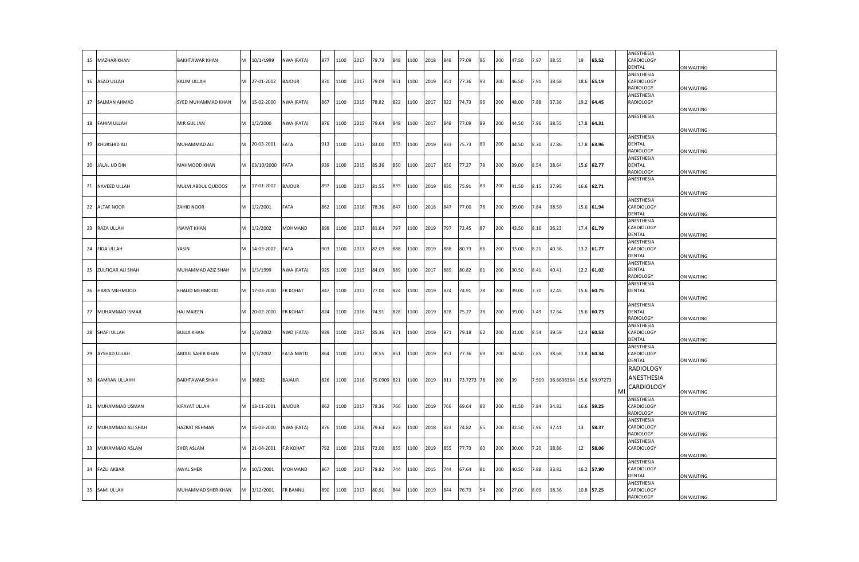| 15 MAZHAR KHAN       | <b>BAKHTAWAR KHAN</b> | м | 10/1/1999  | NWA (FATA)       | 877 | 1100 | 2017 | 79.73       | 848 | 1100 | 2018 | 848 | 77.09      | 95 | 200 | 47.50 | 7.97  | 38.55                    | 19 | 65.52      |    | ANESTHESIA<br>CARDIOLOGY<br>DENTAL              | ON WAITING        |
|----------------------|-----------------------|---|------------|------------------|-----|------|------|-------------|-----|------|------|-----|------------|----|-----|-------|-------|--------------------------|----|------------|----|-------------------------------------------------|-------------------|
| 16 ASAD ULLAH        | KALIM ULLAH           | M | 27-01-2002 | <b>BAJOUR</b>    | 870 | 1100 | 2017 | 79.09       | 851 | 1100 | 2019 | 851 | 77.36      | 93 | 200 | 46.50 | 7.91  | 38.68                    |    | 18.6 65.19 |    | ANESTHESIA<br>CARDIOLOGY<br><b>RADIOLOGY</b>    | ON WAITING        |
| 17 SALMAN AHMAD      | SYED MUHAMMAD KHAN    | M | 15-02-2000 | NWA (FATA)       | 867 | 1100 | 2015 | 78.82       | 822 | 1100 | 2017 | 822 | 74.73      | 96 | 200 | 48.00 | 7.88  | 37.36                    |    | 19.2 64.45 |    | ANESTHESIA<br>RADIOLOGY                         | ON WAITING        |
| 18 FAHIM ULLAH       | MIR GUL JAN           | M | 1/2/2000   | NWA (FATA)       | 876 | 1100 | 2015 | 79.64       | 848 | 1100 | 2017 | 848 | 77.09      | 89 | 200 | 14.50 | 7.96  | 38.55                    |    | 17.8 64.31 |    | ANESTHESIA                                      | ON WAITING        |
| 19 KHURSHID ALI      | MUHAMMAD ALI          | м | 20-03-2001 | FATA             | 913 | 1100 | 2017 | 83.00       | 833 | 1100 | 2019 | 833 | 75.73      | 89 | 200 | 44.50 | 8.30  | 37.86                    |    | 17.8 63.96 |    | ANESTHESIA<br>DENTAL<br><b>RADIOLOGY</b>        | ON WAITING        |
| 20 JALAL UD DIN      | MAHMOOD KHAN          | M | 03/10/2000 | FATA             | 939 | 1100 | 2015 | 85.36       | 850 | 1100 | 2017 | 850 | 77.27      | 78 | 200 | 39.00 | 3.54  | 38.64                    |    | 15.6 62.77 |    | ANESTHESIA<br><b>DENTAL</b><br><b>RADIOLOGY</b> | ON WAITING        |
| 21 NAVEED ULLAH      | MULVI ABDUL QUDOOS    | M | 17-01-2002 | <b>BAJOUR</b>    | 897 | 1100 | 2017 | 81.55       | 835 | 1100 | 2019 | 835 | 75.91      | 83 | 200 | 41.50 | 8.15  | 37.95                    |    | 16.6 62.71 |    | ANESTHESIA                                      | ON WAITING        |
| 22 ALTAF NOOR        | ZAHID NOOR            | M | 1/2/2001   | FATA             | 862 | 1100 | 2016 | 78.36       | 847 | 1100 | 2018 | 847 | 77.00      | 78 | 200 | 39.00 | 7.84  | 38.50                    |    | 15.6 61.94 |    | ANESTHESIA<br>CARDIOLOGY<br><b>DENTAL</b>       | ON WAITING        |
| 23 RAZA ULLAH        | <b>INAYAT KHAN</b>    | M | 1/2/2002   | MOHMAND          | 898 | 1100 | 2017 | 81.64       | 797 | 1100 | 2019 | 797 | 72.45      | 87 | 200 | 43.50 | 8.16  | 36.23                    |    | 17.4 61.79 |    | ANESTHESIA<br>CARDIOLOGY<br><b>DENTAL</b>       | ON WAITING        |
| 24 FIDA ULLAH        | YASIN                 | M | 14-03-2002 | FATA             | 903 | 1100 | 2017 | 82.09       | 888 | 1100 | 2019 | 888 | 80.73      | 66 | 200 | 33.00 | 3.21  | 40.36                    |    | 13.2 61.77 |    | ANESTHESIA<br>CARDIOLOGY<br><b>DENTAL</b>       | ON WAITING        |
| 25 ZULFIQAR ALI SHAH | MUHAMMAD AZIZ SHAH    | M | 1/3/1999   | NWA (FATA)       | 925 | 1100 | 2015 | 84.09       | 889 | 1100 | 2017 | 889 | 80.82      | 61 | 200 | 30.50 | 3.41  | 40.41                    |    | 12.2 61.02 |    | ANESTHESIA<br><b>DENTAL</b><br>RADIOLOGY        | ON WAITING        |
| 26 HARIS MEHMOOD     | KHALID MEHMOOD        | М | 17-03-2000 | FR KOHAT         | 847 | 1100 | 2017 | 77.00       | 824 | 1100 | 2019 | 824 | 74.91      | 78 | 200 | 39.00 | 7.70  | 37.45                    |    | 15.6 60.75 |    | ANESTHESIA<br><b>DENTAL</b>                     | ON WAITING        |
| 27 MUHAMMAD ISMAIL   | HAJ MAIEEN            | M | 20-02-2000 | FR KOHAT         | 824 | 1100 | 2016 | 74.91       | 828 | 1100 | 2019 | 828 | 75.27      | 78 | 200 | 39.00 | 49.   | 37.64                    |    | 15.6 60.73 |    | ANESTHESIA<br><b>DENTAL</b><br>RADIOLOGY        | ON WAITING        |
| 28 SHAFI ULLAH       | <b>BULLA KHAN</b>     | M | 1/3/2002   | NWD (FATA)       | 939 | 1100 | 2017 | 85.36       | 871 | 1100 | 2019 | 871 | 79.18      | 62 | 200 | 31.00 | 3.54  | 39.59                    |    | 12.4 60.53 |    | ANESTHESIA<br>CARDIOLOGY<br>DENTAL              | ON WAITING        |
| 29 AYSHAD ULLAH      | ABDUL SAHIB KHAN      | M | 1/1/2002   | <b>FATA NWTD</b> | 864 | 1100 | 2017 | 78.55       | 851 | 1100 | 2019 | 851 | 77.36      | 69 | 200 | 34.50 | 7.85  | 38.68                    |    | 13.8 60.34 |    | ANESTHESIA<br>CARDIOLOGY<br>DENTAL              | ON WAITING        |
| 30 KAMRAN ULLAHH     | BAKHTAWAR SHAH        | M | 36892      | <b>BAJAUR</b>    | 826 | 1100 | 2016 | 75.0909 821 |     | 1100 | 2019 | 811 | 73.7273 78 |    | 200 | 39    | 7.509 | 36.8636364 15.6 59.97273 |    |            | MI | RADIOLOGY<br>ANESTHESIA<br>CARDIOLOGY           | ON WAITING        |
| 31 MUHAMMAD USMAN    | KIFAYAT ULLAH         | M | 13-11-2001 | <b>BAJOUR</b>    | 862 | 1100 | 2017 | 78.36       | 766 | 1100 | 2019 | 766 | 69.64      | 83 | 200 | 41.50 | .84   | 34.82                    |    | 16.6 59.25 |    | ANESTHESIA<br>CARDIOLOGY<br>RADIOLOGY           | ON WAITING        |
| 32 MUHAMMAD ALI SHAH | HAZRAT REHMAN         | M | 15-03-2000 | NWA (FATA)       | 876 | 1100 | 2016 | 79.64       | 823 | 1100 | 2018 | 823 | 74.82      | 65 | 200 | 32.50 | 7.96  | 37.41                    | 13 | 58.37      |    | ANESTHESIA<br>CARDIOLOGY<br>RADIOLOGY           | <b>ON WAITING</b> |
| 33 MUHAMMAD ASLAM    | SHER ASLAM            | M | 21-04-2001 | <b>F.R KOHAT</b> | 792 | 1100 | 2019 | 72.00       | 855 | 1100 | 2019 | 855 | 77.73      | 60 | 200 | 30.00 | 7.20  | 38.86                    | 12 | 58.06      |    | ANESTHESIA<br>CARDIOLOGY                        | ON WAITING        |
| 34 FAZLI AKBAR       | AWAL SHER             | M | 10/2/2001  | MOHMAND          | 867 | 1100 | 2017 | 78.82       | 744 | 1100 | 2015 | 744 | 67.64      | 81 | 200 | 40.50 | 7.88  | 33.82                    |    | 16.2 57.90 |    | ANESTHESIA<br>CARDIOLOGY<br><b>DENTAL</b>       | ON WAITING        |
| 35 SAMI ULLAH        | MUHAMMAD SHER KHAN    | м | 3/12/2001  | FR BANNU         | 890 | 1100 | 2017 | 80.91       | 844 | 1100 | 2019 | 844 | 76.73      | 54 | 200 | 27.00 | 8.09  | 38.36                    |    | 10.8 57.25 |    | ANESTHESIA<br>CARDIOLOGY<br><b>RADIOLOGY</b>    | <b>ON WAITING</b> |